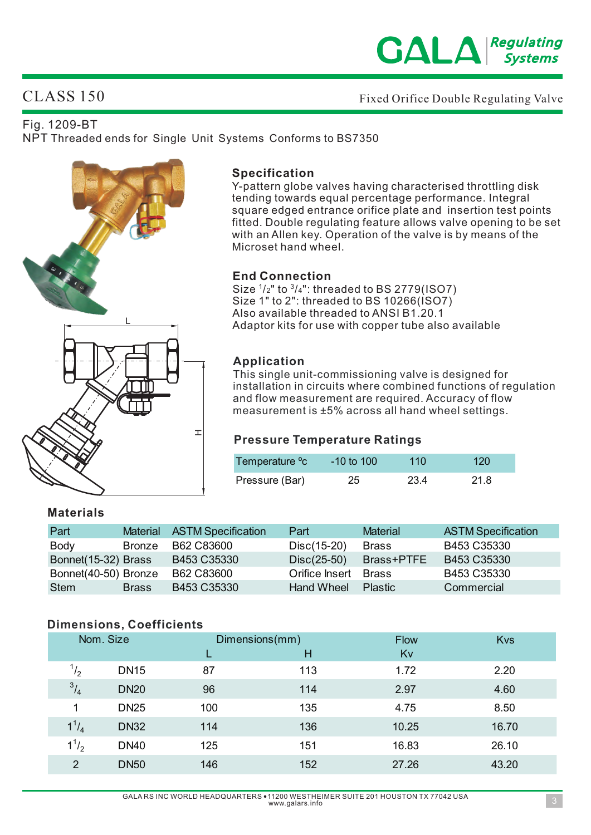

Fixed Orifice Double Regulating Valve

# CLASS 150

### Fig. 1209-BT

NPT Threaded ends for Single Unit Systems Conforms to BS7350



### **Specification**

Y-pattern globe valves having characterised throttling disk tending towards equal percentage performance. Integral square edged entrance orifice plate and insertion test points fitted. Double regulating feature allows valve opening to be set with an Allen key. Operation of the valve is by means of the Microset hand wheel.

### **End Connection**

Size  $\frac{1}{2}$ " to  $\frac{3}{4}$ ": threaded to BS 2779(ISO7) Size 1" to 2": threaded to BS 10266( $\overrightarrow{)}$ (SO7) Also available threaded to ANSI B1.20.1 Adaptor kits for use with copper tube also available

### **Application**

This single unit-commissioning valve is designed for installation in circuits where combined functions of regulation and flow measurement are required. Accuracy of flow measurement is ±5% across all hand wheel settings.

### **Pressure Temperature Ratings**

| Temperature °c | $-10$ to $100$ | 110  | 120 <sub>1</sub> |
|----------------|----------------|------|------------------|
| Pressure (Bar) | 25             | 23.4 | 21.8             |

### **Materials**

| Part                 |               | Material ASTM Specification | Part                 | <b>Material</b>        | <b>ASTM Specification</b> |
|----------------------|---------------|-----------------------------|----------------------|------------------------|---------------------------|
| <b>Body</b>          | <b>Bronze</b> | B62 C83600                  | Disc(15-20)          | <b>Brass</b>           | B453 C35330               |
| Bonnet(15-32) Brass  |               | B453 C35330                 |                      | Disc(25-50) Brass+PTFE | B453 C35330               |
| Bonnet(40-50) Bronze |               | B62 C83600                  | Orifice Insert Brass |                        | B453 C35330               |
| Stem                 | <b>Brass</b>  | B453 C35330                 | Hand Wheel           | <b>Plastic</b>         | Commercial                |

### **Dimensions, Coefficients**

|  | Nom. Size    |             |     | Dimensions(mm) |       | Kvs   |
|--|--------------|-------------|-----|----------------|-------|-------|
|  |              |             |     | н              | Kv    |       |
|  | $^{1}/_{2}$  | <b>DN15</b> | 87  | 113            | 1.72  | 2.20  |
|  | $^{3}/_{4}$  | <b>DN20</b> | 96  | 114            | 2.97  | 4.60  |
|  | 1            | <b>DN25</b> | 100 | 135            | 4.75  | 8.50  |
|  | $1^{1}/_{4}$ | <b>DN32</b> | 114 | 136            | 10.25 | 16.70 |
|  | $1^{1}/_{2}$ | <b>DN40</b> | 125 | 151            | 16.83 | 26.10 |
|  | 2            | <b>DN50</b> | 146 | 152            | 27.26 | 43.20 |
|  |              |             |     |                |       |       |